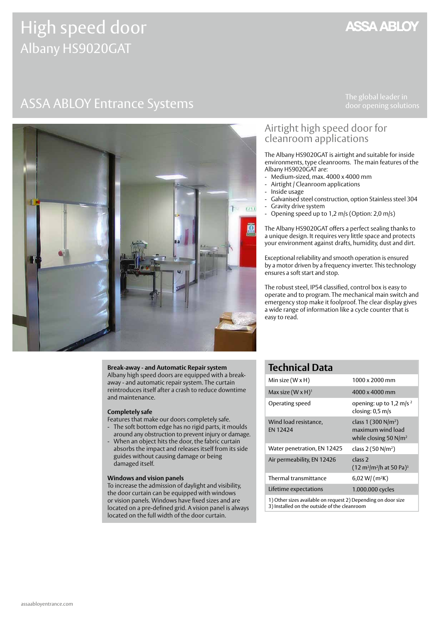# High speed door Albany HS9020GAT

## **ASSA ABLOY**

## ASSA ABLOY Entrance Systems The global leader in



### Airtight high speed door for cleanroom applications

The Albany HS9020GAT is airtight and suitable for inside environments, type cleanrooms. The main features of the Albany HS9020GAT are:

- Medium-sized, max. 4000 x 4000 mm
- Airtight / Cleanroom applications
- Inside usage
- Galvanised steel construction, option Stainless steel 304
- Gravity drive system
- Opening speed up to 1,2 m/s (Option: 2,0 m/s)

The Albany HS9020GAT offers a perfect sealing thanks to a unique design. It requires very little space and protects your environment against drafts, humidity, dust and dirt.

Exceptional reliability and smooth operation is ensured by a motor driven by a frequency inverter. This technology ensures a soft start and stop.

The robust steel, IP54 classified, control box is easy to operate and to program. The mechanical main switch and emergency stop make it foolproof. The clear display gives a wide range of information like a cycle counter that is easy to read.

#### **Break-away - and Automatic Repair system**

Albany high speed doors are equipped with a breakaway - and automatic repair system. The curtain reintroduces itself after a crash to reduce downtime and maintenance.

#### **Completely safe**

Features that make our doors completely safe.

- The soft bottom edge has no rigid parts, it moulds around any obstruction to prevent injury or damage.
- When an object hits the door, the fabric curtain absorbs the impact and releases itself from its side guides without causing damage or being damaged itself.

#### **Windows and vision panels**

To increase the admission of daylight and visibility, the door curtain can be equipped with windows or vision panels. Windows have fixed sizes and are located on a pre-defined grid. A vision panel is always located on the full width of the door curtain.

### **Technical Data**

| Min size $(W \times H)$                                                                                         | 1000 x 2000 mm                                                                     |
|-----------------------------------------------------------------------------------------------------------------|------------------------------------------------------------------------------------|
| Max size $(W \times H)^1$                                                                                       | 4000 x 4000 mm                                                                     |
| Operating speed                                                                                                 | opening: up to 1,2 m/s <sup>2</sup><br>closing: $0.5 \text{ m/s}$                  |
| Wind load resistance,<br><b>EN 12424</b>                                                                        | class 1 (300 N/m <sup>2</sup> )<br>maximum wind load<br>while closing 50 $N/m^2$   |
| Water penetration, EN 12425                                                                                     | class $2(50 N/m^2)$                                                                |
| Air permeability, EN 12426                                                                                      | class <sub>2</sub><br>$(12 \text{ m}^3/\text{m}^2/\text{h}$ at 50 Pa) <sup>3</sup> |
| Thermal transmittance                                                                                           | $6,02$ W/ (m <sup>2</sup> K)                                                       |
| Lifetime expectations                                                                                           | 1.000.000 cycles                                                                   |
| $\mathbf{A} \setminus \mathbf{A}$ , and it is a set of the set of the set of the set of the set of $\mathbf{A}$ |                                                                                    |

Other sizes available on request 2) Depending on door size 3) Installed on the outside of the cleanroom